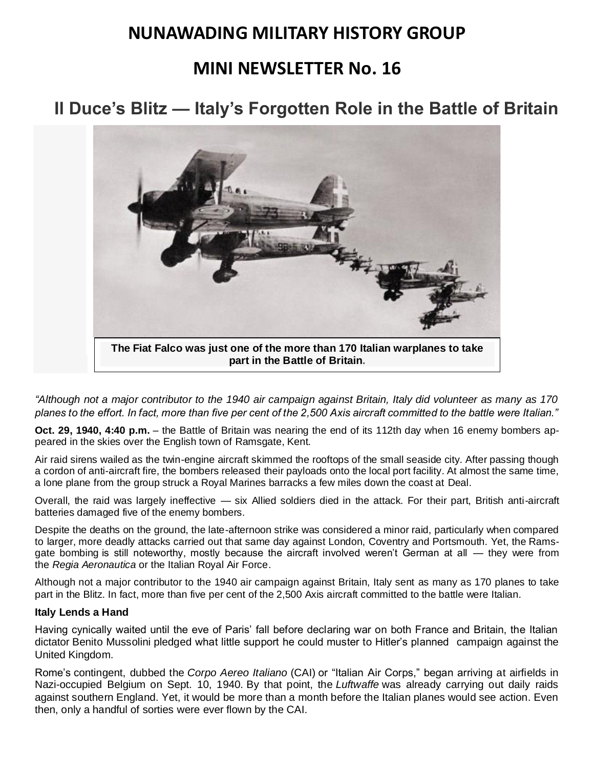## **NUNAWADING MILITARY HISTORY GROUP**

## **MINI NEWSLETTER No. 16**

# **19Il Duce's Blitz — Italy's Forgotten Role in the Battle of Britain**



*"Although not a major contributor to the 1940 air campaign against Britain, Italy did volunteer as many as 170 planes to the effort. In fact, more than five per cent of the 2,500 Axis aircraft committed to the battle were Italian."*

**Oct. 29, 1940, 4:40 p.m.** – the Battle of Britain was nearing the end of its 112th day when 16 enemy bombers appeared in the skies over the English town of [Ramsgate, Kent.](https://en.wikipedia.org/wiki/Ramsgate)

Air raid sirens wailed as the twin-engine aircraft skimmed the rooftops of the small seaside city. After passing though a cordon of anti-aircraft fire, the bombers released their payloads onto the local port facility. At almost the same time, a lone plane from the group struck a Royal Marines barracks a few miles down the coast at [Deal.](https://en.wikipedia.org/wiki/Deal,_Kent)

Overall, the raid was largely ineffective — six Allied soldiers died in the attack. For their part, British anti-aircraft batteries damaged five of the enemy bombers.

Despite the deaths on the ground, the late-afternoon strike was considered a minor raid, particularly when compared to larger, more deadly attacks carried out that same day against London, Coventry and Portsmouth. Yet, the Ramsgate bombing is still noteworthy, mostly because the aircraft involved weren't German at all — they were from the *Regia Aeronautica* [or the Italian Royal Air Force.](https://en.wikipedia.org/wiki/Regia_Aeronautica)

Although not a major contributor to the 1940 air campaign against Britain, Italy sent as many as 170 planes to take part in the Blitz. In fact, more than five per cent of the 2,500 Axis aircraft committed to the battle were Italian.

#### **Italy Lends a Hand**

Having cynically waited until the eve of Paris' fall before declaring war on both France and Britain, the Italian dictator [Benito Mussolini](http://www.biography.com/people/benito-mussolini-9419443) pledged what little support he could muster to Hitler's planned campaign against the United Kingdom.

Rome's contingent, dubbed the *[Corpo Aereo Italiano](https://en.wikipedia.org/wiki/Corpo_Aereo_Italiano)* (CAI) or "Italian Air Corps," began arriving at airfields in Nazi-occupied Belgium on Sept. 10, 1940*.* By that point, the *Luftwaffe* was already carrying out daily raids against southern England. Yet, it would be more than a month before the Italian planes would see action. Even then, only a handful of sorties were ever flown by the CAI.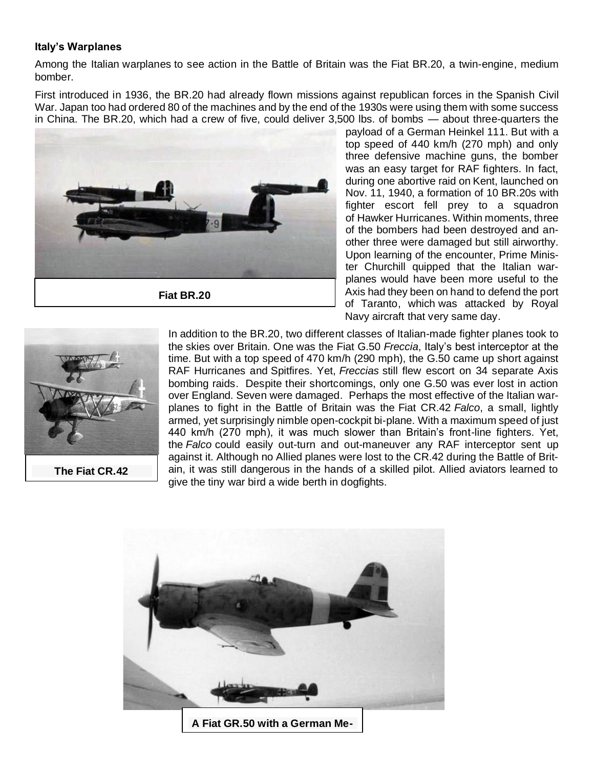#### **Italy's Warplanes**

Among the Italian warplanes to see action in the Battle of Britain was the [Fiat BR.20,](http://www.militaryfactory.com/aircraft/detail.asp?aircraft_id=470) a twin-engine, medium bomber.

First introduced in 1936, the BR.20 had already flown missions against republican forces in the [Spanish Civil](http://en.wikipedia.org/wiki/Spanish_Civil_War)  [War.](http://en.wikipedia.org/wiki/Spanish_Civil_War) Japan too had ordered 80 of the machines and by the end of the 1930s were using them with some success in China. The BR.20, which had a crew of five, could deliver 3,500 lbs. of bombs — about three-quarters the



payload of a German [Heinkel 111.](http://en.wikipedia.org/wiki/Heinkel_He_111) But with a top speed of 440 km/h (270 mph) and only three defensive machine guns, the bomber was an easy target for RAF fighters. In fact, during one abortive raid on Kent, launched on Nov. 11, 1940, a formation of 10 BR.20s with fighter escort fell prey to a squadron of [Hawker Hurricanes.](https://en.wikipedia.org/wiki/Hawker_Hurricane) Within moments, three of the bombers had been destroyed and another three were damaged but still airworthy. Upon learning of the encounter, Prime Minister Churchill quipped that the Italian warplanes would have been more useful to the Axis had they been on hand to defend the port of Taranto, which [was attacked by Royal](http://en.wikipedia.org/wiki/Battle_of_Taranto)  [Navy aircraft](http://en.wikipedia.org/wiki/Battle_of_Taranto) that very same day.



**The Fiat CR.42**

In addition to the BR.20, two different classes of Italian-made fighter planes took to the skies over Britain. One was the [Fiat G.50](http://en.wikipedia.org/wiki/Fiat_G.50) *Freccia*, Italy's best interceptor at the time. But with a top speed of 470 km/h (290 mph), the G.50 came up short against RAF Hurricanes and [Spitfires.](https://en.wikipedia.org/wiki/Supermarine_Spitfire) Yet, *Freccias* still flew escort on 34 separate Axis bombing raids. Despite their shortcomings, only one G.50 was ever lost in action over England. Seven were damaged. Perhaps the most effective of the Italian warplanes to fight in the Battle of Britain was the [Fiat CR.42](http://en.wikipedia.org/wiki/Fiat_CR.42) *Falco*, a small, lightly armed, yet surprisingly nimble open-cockpit bi-plane. With a maximum speed of just 440 km/h (270 mph), it was much slower than Britain's front-line fighters. Yet, the *Falco* could easily out-turn and out-maneuver any RAF interceptor sent up against it. Although no Allied planes were lost to the CR.42 during the Battle of Britain, it was still dangerous in the hands of a skilled pilot. Allied aviators learned to give the tiny war bird a wide berth in dogfights.